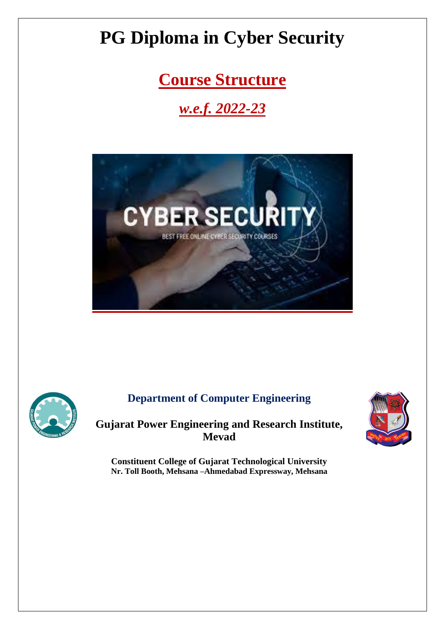**Course Structure** 

# *w.e.f. 2022-23*





# **Department of Computer Engineering**

**Gujarat Power Engineering and Research Institute, Mevad**



**Constituent College of Gujarat Technological University Nr. Toll Booth, Mehsana –Ahmedabad Expressway, Mehsana**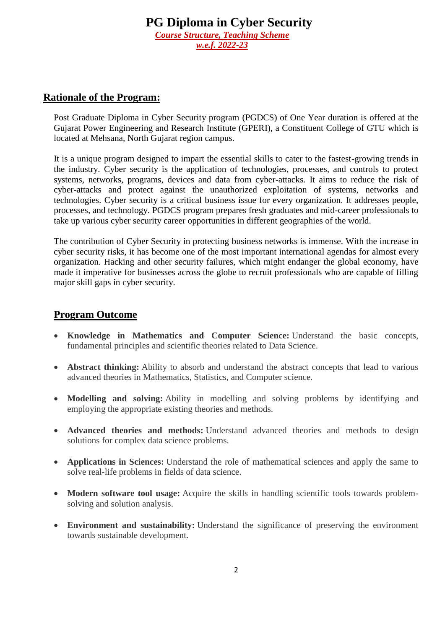### **Rationale of the Program:**

Post Graduate Diploma in Cyber Security program (PGDCS) of One Year duration is offered at the Gujarat Power Engineering and Research Institute (GPERI), a Constituent College of GTU which is located at Mehsana, North Gujarat region campus.

It is a unique program designed to impart the essential skills to cater to the fastest-growing trends in the industry. Cyber security is the application of technologies, processes, and controls to protect systems, networks, programs, devices and data from cyber-attacks. It aims to reduce the risk of cyber-attacks and protect against the unauthorized exploitation of systems, networks and technologies. Cyber security is a critical business issue for every organization. It addresses people, processes, and technology. PGDCS program prepares fresh graduates and mid-career professionals to take up various cyber security career opportunities in different geographies of the world.

The contribution of Cyber Security in protecting business networks is immense. With the increase in cyber security risks, it has become one of the most important international agendas for almost every organization. Hacking and other security failures, which might endanger the global economy, have made it imperative for businesses across the globe to recruit professionals who are capable of filling major skill gaps in cyber security.

### **Program Outcome**

- **Knowledge in Mathematics and Computer Science:** Understand the basic concepts, fundamental principles and scientific theories related to Data Science.
- **Abstract thinking:** Ability to absorb and understand the abstract concepts that lead to various advanced theories in Mathematics, Statistics, and Computer science.
- **Modelling and solving:** Ability in modelling and solving problems by identifying and employing the appropriate existing theories and methods.
- **Advanced theories and methods:** Understand advanced theories and methods to design solutions for complex data science problems.
- **Applications in Sciences:** Understand the role of mathematical sciences and apply the same to solve real-life problems in fields of data science.
- **Modern software tool usage:** Acquire the skills in handling scientific tools towards problemsolving and solution analysis.
- **Environment and sustainability:** Understand the significance of preserving the environment towards sustainable development.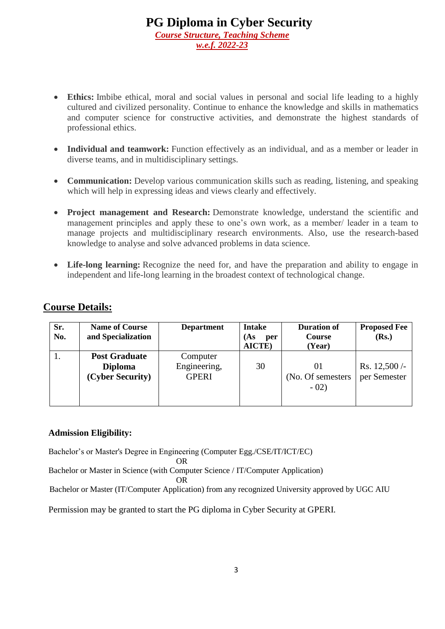- **Ethics:** Imbibe ethical, moral and social values in personal and social life leading to a highly cultured and civilized personality. Continue to enhance the knowledge and skills in mathematics and computer science for constructive activities, and demonstrate the highest standards of professional ethics.
- **Individual and teamwork:** Function effectively as an individual, and as a member or leader in diverse teams, and in multidisciplinary settings.
- **Communication:** Develop various communication skills such as reading, listening, and speaking which will help in expressing ideas and views clearly and effectively.
- **Project management and Research:** Demonstrate knowledge, understand the scientific and management principles and apply these to one's own work, as a member/ leader in a team to manage projects and multidisciplinary research environments. Also, use the research-based knowledge to analyse and solve advanced problems in data science.
- **Life-long learning:** Recognize the need for, and have the preparation and ability to engage in independent and life-long learning in the broadest context of technological change.

### **Course Details:**

| Sr.<br>No. | <b>Name of Course</b><br>and Specialization                | <b>Department</b>                        | <b>Intake</b><br>(As<br>per<br><b>AICTE</b> ) | <b>Duration of</b><br><b>Course</b><br>(Year) | <b>Proposed Fee</b><br>(Rs.)  |
|------------|------------------------------------------------------------|------------------------------------------|-----------------------------------------------|-----------------------------------------------|-------------------------------|
|            | <b>Post Graduate</b><br><b>Diploma</b><br>(Cyber Security) | Computer<br>Engineering,<br><b>GPERI</b> | 30                                            | (No. Of semesters)<br>$-02)$                  | Rs. $12,500/$<br>per Semester |

#### **Admission Eligibility:**

Bachelor's or Master's Degree in Engineering (Computer Egg./CSE/IT/ICT/EC)

OR

Bachelor or Master in Science (with Computer Science / IT/Computer Application)

**OR** Service Service Service Service Service Service Service Service Service Service Service Service Service Service Service Service Service Service Service Service Service Service Service Service Service Service Service S

Bachelor or Master (IT/Computer Application) from any recognized University approved by UGC AIU

Permission may be granted to start the PG diploma in Cyber Security at GPERI.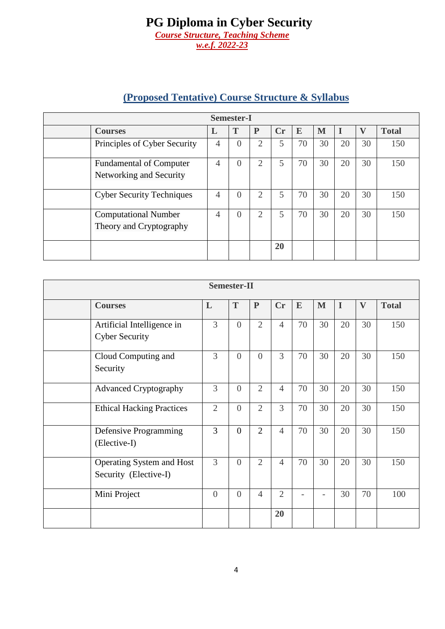# **(Proposed Tentative) Course Structure & Syllabus**

| <b>Semester-I</b>                                         |                |                  |                |    |    |    |    |          |              |  |  |  |
|-----------------------------------------------------------|----------------|------------------|----------------|----|----|----|----|----------|--------------|--|--|--|
| <b>Courses</b>                                            |                | Т                | P              | Cr | E  | M  |    | $\bf{V}$ | <b>Total</b> |  |  |  |
| Principles of Cyber Security                              | $\overline{4}$ |                  | 2              | 5  | 70 | 30 | 20 | 30       | 150          |  |  |  |
| <b>Fundamental of Computer</b><br>Networking and Security | 4              | $\left( \right)$ | $\overline{2}$ | 5  | 70 | 30 | 20 | 30       | 150          |  |  |  |
| <b>Cyber Security Techniques</b>                          | $\overline{4}$ |                  | 2              | 5  | 70 | 30 | 20 | 30       | 150          |  |  |  |
| <b>Computational Number</b><br>Theory and Cryptography    | $\overline{4}$ | $\Omega$         | $\overline{2}$ | 5  | 70 | 30 | 20 | 30       | 150          |  |  |  |
|                                                           |                |                  |                | 20 |    |    |    |          |              |  |  |  |

| <b>Semester-II</b>                                  |                |          |                |                |                          |                          |             |              |              |  |  |  |
|-----------------------------------------------------|----------------|----------|----------------|----------------|--------------------------|--------------------------|-------------|--------------|--------------|--|--|--|
| <b>Courses</b>                                      | L              | T        | $\mathbf{P}$   | Cr             | E                        | M                        | $\mathbf I$ | $\mathbf{V}$ | <b>Total</b> |  |  |  |
| Artificial Intelligence in<br><b>Cyber Security</b> | $\overline{3}$ | $\theta$ | $\overline{2}$ | $\overline{4}$ | 70                       | 30                       | 20          | 30           | 150          |  |  |  |
| Cloud Computing and<br>Security                     | $\overline{3}$ | $\theta$ | $\overline{0}$ | 3              | 70                       | 30                       | 20          | 30           | 150          |  |  |  |
| <b>Advanced Cryptography</b>                        | $\overline{3}$ | $\theta$ | $\overline{2}$ | $\overline{4}$ | 70                       | 30                       | 20          | 30           | 150          |  |  |  |
| <b>Ethical Hacking Practices</b>                    | $\overline{2}$ | $\theta$ | $\overline{2}$ | 3              | 70                       | 30                       | 20          | 30           | 150          |  |  |  |
| Defensive Programming<br>(Elective-I)               | $\overline{3}$ | $\theta$ | $\overline{2}$ | $\overline{4}$ | 70                       | 30                       | 20          | 30           | 150          |  |  |  |
| Operating System and Host<br>Security (Elective-I)  | $\overline{3}$ | $\theta$ | $\overline{2}$ | $\overline{4}$ | 70                       | 30                       | 20          | 30           | 150          |  |  |  |
| Mini Project                                        | $\overline{0}$ | $\theta$ | $\overline{4}$ | $\overline{2}$ | $\overline{\phantom{0}}$ | $\overline{\phantom{0}}$ | 30          | 70           | 100          |  |  |  |
|                                                     |                |          |                | 20             |                          |                          |             |              |              |  |  |  |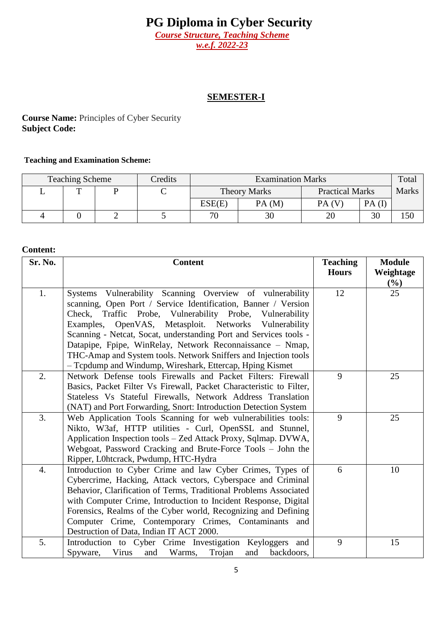*Course Structure, Teaching Scheme w.e.f. 2022-23*

## **SEMESTER-I**

**Course Name:** Principles of Cyber Security **Subject Code:** 

#### **Teaching and Examination Scheme:**

| <b>Teaching Scheme</b> | Credits | <b>Examination Marks</b> |                     |                        |       | Total        |
|------------------------|---------|--------------------------|---------------------|------------------------|-------|--------------|
| $\mathbf{r}$           | ◡       |                          | <b>Theory Marks</b> | <b>Practical Marks</b> |       | <b>Marks</b> |
|                        |         | ESE(E)                   | PA(M)               | PA(V)                  | PA(I) |              |
|                        |         | 70                       | 30                  |                        | 30    | 150          |

| Sr. No. | <b>Content</b>                                                                                     | <b>Teaching</b> | <b>Module</b> |
|---------|----------------------------------------------------------------------------------------------------|-----------------|---------------|
|         |                                                                                                    | <b>Hours</b>    | Weightage     |
|         |                                                                                                    |                 | (%)           |
| 1.      | Systems Vulnerability Scanning Overview of vulnerability                                           | 12              | 25            |
|         | scanning, Open Port / Service Identification, Banner / Version                                     |                 |               |
|         | Check, Traffic Probe, Vulnerability Probe, Vulnerability                                           |                 |               |
|         | Examples, OpenVAS, Metasploit. Networks Vulnerability                                              |                 |               |
|         | Scanning - Netcat, Socat, understanding Port and Services tools -                                  |                 |               |
|         | Datapipe, Fpipe, WinRelay, Network Reconnaissance - Nmap,                                          |                 |               |
|         | THC-Amap and System tools. Network Sniffers and Injection tools                                    |                 |               |
|         | - Tcpdump and Windump, Wireshark, Ettercap, Hping Kismet                                           | 9               |               |
| 2.      | Network Defense tools Firewalls and Packet Filters: Firewall                                       |                 | 25            |
|         | Basics, Packet Filter Vs Firewall, Packet Characteristic to Filter,                                |                 |               |
|         | Stateless Vs Stateful Firewalls, Network Address Translation                                       |                 |               |
|         | (NAT) and Port Forwarding, Snort: Introduction Detection System                                    |                 |               |
| 3.      | Web Application Tools Scanning for web vulnerabilities tools:                                      | 9               | 25            |
|         | Nikto, W3af, HTTP utilities - Curl, OpenSSL and Stunnel,                                           |                 |               |
|         | Application Inspection tools - Zed Attack Proxy, Sqlmap. DVWA,                                     |                 |               |
|         | Webgoat, Password Cracking and Brute-Force Tools - John the                                        |                 |               |
| 4.      | Ripper, L0htcrack, Pwdump, HTC-Hydra<br>Introduction to Cyber Crime and law Cyber Crimes, Types of | 6               | 10            |
|         |                                                                                                    |                 |               |
|         | Cybercrime, Hacking, Attack vectors, Cyberspace and Criminal                                       |                 |               |
|         | Behavior, Clarification of Terms, Traditional Problems Associated                                  |                 |               |
|         | with Computer Crime, Introduction to Incident Response, Digital                                    |                 |               |
|         | Forensics, Realms of the Cyber world, Recognizing and Defining                                     |                 |               |
|         | Computer Crime, Contemporary Crimes, Contaminants and<br>Destruction of Data, Indian IT ACT 2000.  |                 |               |
| 5.      |                                                                                                    | 9               | 15            |
|         | Introduction to Cyber Crime Investigation Keyloggers and                                           |                 |               |
|         | Spyware,<br>Virus<br>and<br>Warms,<br>Trojan<br>backdoors,<br>and                                  |                 |               |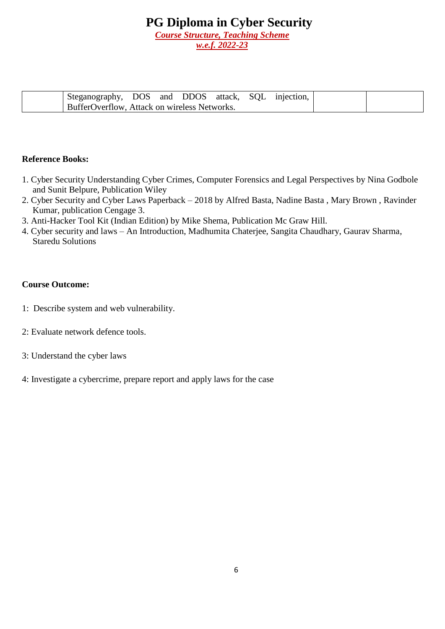*w.e.f. 2022-23*

| Steganography, DOS and DDOS attack, SQL injection,  |  |  |  |  |
|-----------------------------------------------------|--|--|--|--|
| <b>BufferOverflow, Attack on wireless Networks.</b> |  |  |  |  |

#### **Reference Books:**

- 1. Cyber Security Understanding Cyber Crimes, Computer Forensics and Legal Perspectives by Nina Godbole and Sunit Belpure, Publication Wiley
- 2. Cyber Security and Cyber Laws Paperback 2018 by Alfred Basta, Nadine Basta , Mary Brown , Ravinder Kumar, publication Cengage 3.
- 3. Anti-Hacker Tool Kit (Indian Edition) by Mike Shema, Publication Mc Graw Hill.
- 4. Cyber security and laws An Introduction, Madhumita Chaterjee, Sangita Chaudhary, Gaurav Sharma, Staredu Solutions

- 1: Describe system and web vulnerability.
- 2: Evaluate network defence tools.
- 3: Understand the cyber laws
- 4: Investigate a cybercrime, prepare report and apply laws for the case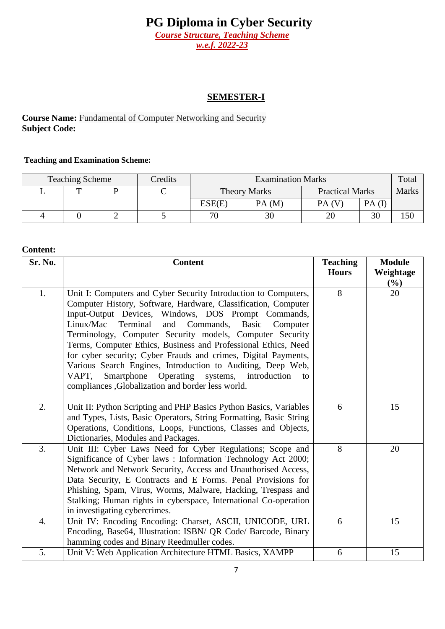*Course Structure, Teaching Scheme w.e.f. 2022-23*

### **SEMESTER-I**

**Course Name:** Fundamental of Computer Networking and Security **Subject Code:** 

#### **Teaching and Examination Scheme:**

| <b>Teaching Scheme</b> | Credits | <b>Examination Marks</b> |                     |                        |       | Total        |
|------------------------|---------|--------------------------|---------------------|------------------------|-------|--------------|
| m                      | ◡       |                          | <b>Theory Marks</b> | <b>Practical Marks</b> |       | <b>Marks</b> |
|                        |         | ESE(E)                   | PA(M)               | PA(V)                  | PA(I) |              |
|                        |         | 70                       | 30                  |                        | 30    | 150          |

| Sr. No. | <b>Content</b>                                                                                                                                                                                                                                                                                                                                                                                                                                                                                                                                                                                                                                  | <b>Teaching</b><br><b>Hours</b> | <b>Module</b><br>Weightage |
|---------|-------------------------------------------------------------------------------------------------------------------------------------------------------------------------------------------------------------------------------------------------------------------------------------------------------------------------------------------------------------------------------------------------------------------------------------------------------------------------------------------------------------------------------------------------------------------------------------------------------------------------------------------------|---------------------------------|----------------------------|
|         |                                                                                                                                                                                                                                                                                                                                                                                                                                                                                                                                                                                                                                                 |                                 | $(\%)$                     |
| 1.      | Unit I: Computers and Cyber Security Introduction to Computers,<br>Computer History, Software, Hardware, Classification, Computer<br>Input-Output Devices, Windows, DOS Prompt Commands,<br>Linux/Mac<br>Terminal<br>and<br>Commands,<br>Basic<br>Computer<br>Terminology, Computer Security models, Computer Security<br>Terms, Computer Ethics, Business and Professional Ethics, Need<br>for cyber security; Cyber Frauds and crimes, Digital Payments,<br>Various Search Engines, Introduction to Auditing, Deep Web,<br>Smartphone Operating systems,<br>VAPT,<br>introduction<br>to<br>compliances , Globalization and border less world. | 8                               | 20                         |
| 2.      | Unit II: Python Scripting and PHP Basics Python Basics, Variables<br>and Types, Lists, Basic Operators, String Formatting, Basic String<br>Operations, Conditions, Loops, Functions, Classes and Objects,<br>Dictionaries, Modules and Packages.                                                                                                                                                                                                                                                                                                                                                                                                | 6                               | 15                         |
| 3.      | Unit III: Cyber Laws Need for Cyber Regulations; Scope and<br>Significance of Cyber laws: Information Technology Act 2000;<br>Network and Network Security, Access and Unauthorised Access,<br>Data Security, E Contracts and E Forms. Penal Provisions for<br>Phishing, Spam, Virus, Worms, Malware, Hacking, Trespass and<br>Stalking; Human rights in cyberspace, International Co-operation<br>in investigating cybercrimes.                                                                                                                                                                                                                | 8                               | 20                         |
| 4.      | Unit IV: Encoding Encoding: Charset, ASCII, UNICODE, URL<br>Encoding, Base64, Illustration: ISBN/ QR Code/ Barcode, Binary<br>hamming codes and Binary Reedmuller codes.                                                                                                                                                                                                                                                                                                                                                                                                                                                                        | 6                               | 15                         |
| 5.      | Unit V: Web Application Architecture HTML Basics, XAMPP                                                                                                                                                                                                                                                                                                                                                                                                                                                                                                                                                                                         | 6                               | 15                         |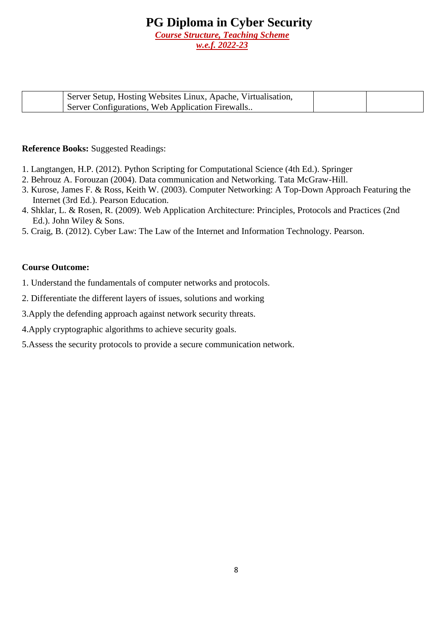*w.e.f. 2022-23*

| Server Setup, Hosting Websites Linux, Apache, Virtualisation, |  |
|---------------------------------------------------------------|--|
| <b>Server Configurations, Web Application Firewalls</b>       |  |

#### **Reference Books:** Suggested Readings:

- 1. Langtangen, H.P. (2012). Python Scripting for Computational Science (4th Ed.). Springer
- 2. Behrouz A. Forouzan (2004). Data communication and Networking. Tata McGraw-Hill.
- 3. Kurose, James F. & Ross, Keith W. (2003). Computer Networking: A Top-Down Approach Featuring the Internet (3rd Ed.). Pearson Education.
- 4. Shklar, L. & Rosen, R. (2009). Web Application Architecture: Principles, Protocols and Practices (2nd Ed.). John Wiley & Sons.
- 5. Craig, B. (2012). Cyber Law: The Law of the Internet and Information Technology. Pearson.

- 1. Understand the fundamentals of computer networks and protocols.
- 2. Differentiate the different layers of issues, solutions and working
- 3.Apply the defending approach against network security threats.
- 4.Apply cryptographic algorithms to achieve security goals.
- 5.Assess the security protocols to provide a secure communication network.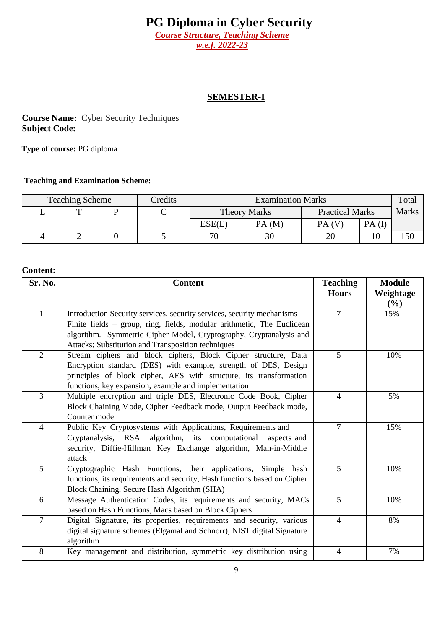*Course Structure, Teaching Scheme w.e.f. 2022-23*

#### **SEMESTER-I**

**Course Name:** Cyber Security Techniques **Subject Code:** 

**Type of course:** PG diploma

#### **Teaching and Examination Scheme:**

| <b>Teaching Scheme</b><br>Credits |  |   | <b>Examination Marks</b> |                     |                        |       |       |
|-----------------------------------|--|---|--------------------------|---------------------|------------------------|-------|-------|
| m                                 |  | ◡ |                          | <b>Theory Marks</b> | <b>Practical Marks</b> |       | Marks |
|                                   |  |   | ESE(E)                   | PA(M)               | PA(V)                  | PA(I) |       |
|                                   |  |   | 70                       | 30                  | 20                     | 10    | 150   |

| Sr. No.        | <b>Content</b>                                                           | <b>Teaching</b> | <b>Module</b> |
|----------------|--------------------------------------------------------------------------|-----------------|---------------|
|                |                                                                          | <b>Hours</b>    | Weightage     |
|                |                                                                          |                 | (%)           |
| $\mathbf{1}$   | Introduction Security services, security services, security mechanisms   | $\overline{7}$  | 15%           |
|                | Finite fields - group, ring, fields, modular arithmetic, The Euclidean   |                 |               |
|                | algorithm. Symmetric Cipher Model, Cryptography, Cryptanalysis and       |                 |               |
|                | Attacks; Substitution and Transposition techniques                       |                 |               |
| $\overline{2}$ | Stream ciphers and block ciphers, Block Cipher structure, Data           | $\overline{5}$  | 10%           |
|                | Encryption standard (DES) with example, strength of DES, Design          |                 |               |
|                | principles of block cipher, AES with structure, its transformation       |                 |               |
|                | functions, key expansion, example and implementation                     |                 |               |
| $\overline{3}$ | Multiple encryption and triple DES, Electronic Code Book, Cipher         | $\overline{4}$  | 5%            |
|                | Block Chaining Mode, Cipher Feedback mode, Output Feedback mode,         |                 |               |
|                | Counter mode                                                             |                 |               |
| $\overline{4}$ | Public Key Cryptosystems with Applications, Requirements and             | $\overline{7}$  | 15%           |
|                | Cryptanalysis, RSA algorithm, its computational<br>aspects and           |                 |               |
|                | security, Diffie-Hillman Key Exchange algorithm, Man-in-Middle           |                 |               |
|                | attack                                                                   |                 |               |
| 5              | Cryptographic Hash Functions, their applications, Simple hash            | 5               | 10%           |
|                | functions, its requirements and security, Hash functions based on Cipher |                 |               |
|                | Block Chaining, Secure Hash Algorithm (SHA)                              |                 |               |
| 6              | Message Authentication Codes, its requirements and security, MACs        | 5               | 10%           |
|                | based on Hash Functions, Macs based on Block Ciphers                     |                 |               |
| $\overline{7}$ | Digital Signature, its properties, requirements and security, various    | $\overline{4}$  | 8%            |
|                | digital signature schemes (Elgamal and Schnorr), NIST digital Signature  |                 |               |
|                | algorithm                                                                |                 |               |
| 8              | Key management and distribution, symmetric key distribution using        | $\overline{4}$  | 7%            |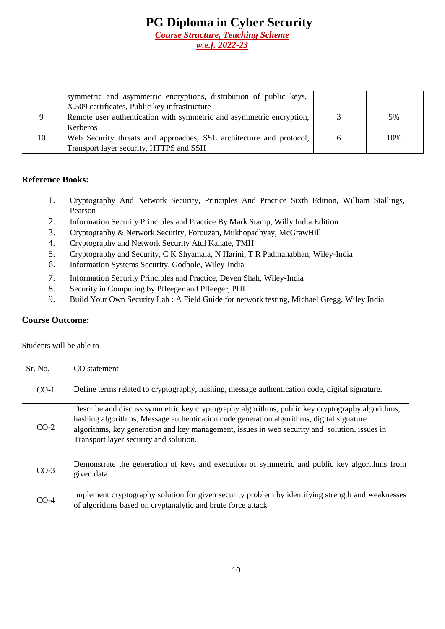|    | symmetric and asymmetric encryptions, distribution of public keys,   |     |
|----|----------------------------------------------------------------------|-----|
|    | X.509 certificates, Public key infrastructure                        |     |
|    | Remote user authentication with symmetric and asymmetric encryption, | 5%  |
|    | <b>Kerberos</b>                                                      |     |
| 10 | Web Security threats and approaches, SSL architecture and protocol,  | 10% |
|    | Transport layer security, HTTPS and SSH                              |     |

#### **Reference Books:**

- 1. Cryptography And Network Security, Principles And Practice Sixth Edition, William Stallings, Pearson
- 2. Information Security Principles and Practice By Mark Stamp, Willy India Edition
- 3. Cryptography & Network Security, Forouzan, Mukhopadhyay, McGrawHill
- 4. Cryptography and Network Security Atul Kahate, TMH
- 5. Cryptography and Security, C K Shyamala, N Harini, T R Padmanabhan, Wiley-India
- 6. Information Systems Security, Godbole, Wiley-India
- 7. Information Security Principles and Practice, Deven Shah, Wiley-India
- 8. Security in Computing by Pfleeger and Pfleeger, PHI
- 9. Build Your Own Security Lab : A Field Guide for network testing, Michael Gregg, Wiley India

#### **Course Outcome:**

Students will be able to

| Sr. No. | CO statement                                                                                                                                                                                                                                                                                                                           |
|---------|----------------------------------------------------------------------------------------------------------------------------------------------------------------------------------------------------------------------------------------------------------------------------------------------------------------------------------------|
| $CO-1$  | Define terms related to cryptography, hashing, message authentication code, digital signature.                                                                                                                                                                                                                                         |
| $CO-2$  | Describe and discuss symmetric key cryptography algorithms, public key cryptography algorithms,<br>hashing algorithms, Message authentication code generation algorithms, digital signature<br>algorithms, key generation and key management, issues in web security and solution, issues in<br>Transport layer security and solution. |
| $CO-3$  | Demonstrate the generation of keys and execution of symmetric and public key algorithms from<br>given data.                                                                                                                                                                                                                            |
| $CO-4$  | Implement cryptography solution for given security problem by identifying strength and weaknesses<br>of algorithms based on cryptanalytic and brute force attack                                                                                                                                                                       |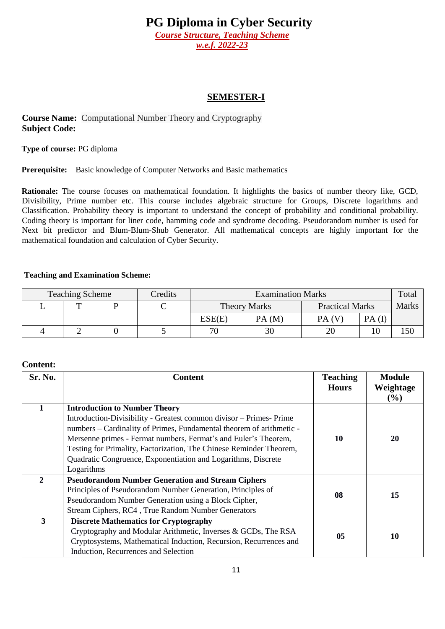*Course Structure, Teaching Scheme w.e.f. 2022-23*

#### **SEMESTER-I**

**Course Name:** Computational Number Theory and Cryptography **Subject Code:** 

**Type of course:** PG diploma

**Prerequisite:** Basic knowledge of Computer Networks and Basic mathematics

**Rationale:** The course focuses on mathematical foundation. It highlights the basics of number theory like, GCD, Divisibility, Prime number etc. This course includes algebraic structure for Groups, Discrete logarithms and Classification. Probability theory is important to understand the concept of probability and conditional probability. Coding theory is important for liner code, hamming code and syndrome decoding. Pseudorandom number is used for Next bit predictor and Blum-Blum-Shub Generator. All mathematical concepts are highly important for the mathematical foundation and calculation of Cyber Security.

#### **Teaching and Examination Scheme:**

| <b>Teaching Scheme</b> | Credits | <b>Examination Marks</b> |       |                        | Total |       |
|------------------------|---------|--------------------------|-------|------------------------|-------|-------|
| m                      | ◡       | <b>Theory Marks</b>      |       | <b>Practical Marks</b> |       | Marks |
|                        |         | ESE(E)                   | PA(M) | PA(V)                  | PA(I) |       |
|                        |         | 70                       | 30    |                        | 10    | 150   |

| Sr. No.        | <b>Content</b>                                                       | <b>Teaching</b><br><b>Hours</b> | <b>Module</b><br>Weightage<br>(%) |
|----------------|----------------------------------------------------------------------|---------------------------------|-----------------------------------|
|                | <b>Introduction to Number Theory</b>                                 |                                 |                                   |
|                | Introduction-Divisibility - Greatest common divisor – Primes- Prime  |                                 |                                   |
|                | numbers – Cardinality of Primes, Fundamental theorem of arithmetic - |                                 |                                   |
|                | Mersenne primes - Fermat numbers, Fermat's and Euler's Theorem,      | 10                              | 20                                |
|                | Testing for Primality, Factorization, The Chinese Reminder Theorem,  |                                 |                                   |
|                | Quadratic Congruence, Exponentiation and Logarithms, Discrete        |                                 |                                   |
|                | Logarithms                                                           |                                 |                                   |
| $\overline{2}$ | <b>Pseudorandom Number Generation and Stream Ciphers</b>             |                                 |                                   |
|                | Principles of Pseudorandom Number Generation, Principles of          | 08                              |                                   |
|                | Pseudorandom Number Generation using a Block Cipher,                 |                                 | 15                                |
|                | Stream Ciphers, RC4, True Random Number Generators                   |                                 |                                   |
| $\overline{3}$ | <b>Discrete Mathematics for Cryptography</b>                         |                                 |                                   |
|                | Cryptography and Modular Arithmetic, Inverses & GCDs, The RSA        | 05                              | 10                                |
|                | Cryptosystems, Mathematical Induction, Recursion, Recurrences and    |                                 |                                   |
|                | Induction, Recurrences and Selection                                 |                                 |                                   |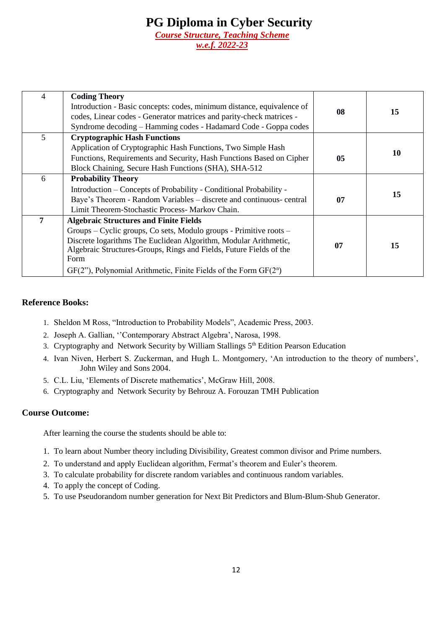| 4 | <b>Coding Theory</b><br>Introduction - Basic concepts: codes, minimum distance, equivalence of<br>codes, Linear codes - Generator matrices and parity-check matrices -<br>Syndrome decoding – Hamming codes - Hadamard Code - Goppa codes                                                                                                     | 08 | 15 |
|---|-----------------------------------------------------------------------------------------------------------------------------------------------------------------------------------------------------------------------------------------------------------------------------------------------------------------------------------------------|----|----|
| 5 | <b>Cryptographic Hash Functions</b><br>Application of Cryptographic Hash Functions, Two Simple Hash<br>Functions, Requirements and Security, Hash Functions Based on Cipher<br>Block Chaining, Secure Hash Functions (SHA), SHA-512                                                                                                           | 05 | 10 |
| 6 | <b>Probability Theory</b><br>Introduction - Concepts of Probability - Conditional Probability -<br>Baye's Theorem - Random Variables – discrete and continuous- central<br>Limit Theorem-Stochastic Process- Markov Chain.                                                                                                                    | 07 | 15 |
| 7 | <b>Algebraic Structures and Finite Fields</b><br>Groups – Cyclic groups, Co sets, Modulo groups - Primitive roots –<br>Discrete logarithms The Euclidean Algorithm, Modular Arithmetic,<br>Algebraic Structures-Groups, Rings and Fields, Future Fields of the<br>Form<br>$GF(2)$ , Polynomial Arithmetic, Finite Fields of the Form $GF(2n)$ | 07 | 15 |

#### **Reference Books:**

- 1. Sheldon M Ross, "Introduction to Probability Models", Academic Press, 2003.
- 2. Joseph A. Gallian, ''Contemporary Abstract Algebra', Narosa, 1998.
- 3. Cryptography and Network Security by William Stallings 5<sup>th</sup> Edition Pearson Education
- 4. Ivan Niven, Herbert S. Zuckerman, and Hugh L. Montgomery, 'An introduction to the theory of numbers', John Wiley and Sons 2004.
- 5. C.L. Liu, 'Elements of Discrete mathematics', McGraw Hill, 2008.
- 6. Cryptography and Network Security by Behrouz A. Forouzan TMH Publication

#### **Course Outcome:**

After learning the course the students should be able to:

- 1. To learn about Number theory including Divisibility, Greatest common divisor and Prime numbers.
- 2. To understand and apply Euclidean algorithm, Fermat's theorem and Euler's theorem.
- 3. To calculate probability for discrete random variables and continuous random variables.
- 4. To apply the concept of Coding.
- 5. To use Pseudorandom number generation for Next Bit Predictors and Blum-Blum-Shub Generator.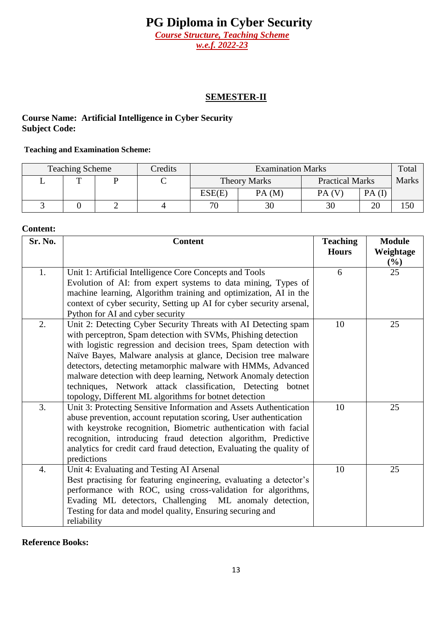*Course Structure, Teaching Scheme w.e.f. 2022-23*

#### **SEMESTER-II**

#### **Course Name: Artificial Intelligence in Cyber Security Subject Code:**

#### **Teaching and Examination Scheme:**

| <b>Teaching Scheme</b> | Credits | <b>Examination Marks</b> |       |                        | Total |              |
|------------------------|---------|--------------------------|-------|------------------------|-------|--------------|
| m                      |         | <b>Theory Marks</b>      |       | <b>Practical Marks</b> |       | <b>Marks</b> |
|                        |         | ESE(E)                   | PA(M) | PA(V)                  | PA(I) |              |
|                        |         | 70                       | 30    |                        | 20    | .50          |

#### **Content:**

| Sr. No. | <b>Content</b>                                                       | <b>Teaching</b> | <b>Module</b> |
|---------|----------------------------------------------------------------------|-----------------|---------------|
|         |                                                                      | <b>Hours</b>    | Weightage     |
|         |                                                                      |                 | $(\%)$        |
| 1.      | Unit 1: Artificial Intelligence Core Concepts and Tools              | 6               | 25            |
|         | Evolution of AI: from expert systems to data mining, Types of        |                 |               |
|         | machine learning, Algorithm training and optimization, AI in the     |                 |               |
|         | context of cyber security, Setting up AI for cyber security arsenal, |                 |               |
|         | Python for AI and cyber security                                     |                 |               |
| 2.      | Unit 2: Detecting Cyber Security Threats with AI Detecting spam      | 10              | 25            |
|         | with perceptron, Spam detection with SVMs, Phishing detection        |                 |               |
|         | with logistic regression and decision trees, Spam detection with     |                 |               |
|         | Naïve Bayes, Malware analysis at glance, Decision tree malware       |                 |               |
|         | detectors, detecting metamorphic malware with HMMs, Advanced         |                 |               |
|         | malware detection with deep learning, Network Anomaly detection      |                 |               |
|         | techniques, Network attack classification, Detecting botnet          |                 |               |
|         | topology, Different ML algorithms for botnet detection               |                 |               |
| 3.      | Unit 3: Protecting Sensitive Information and Assets Authentication   | 10              | 25            |
|         | abuse prevention, account reputation scoring, User authentication    |                 |               |
|         | with keystroke recognition, Biometric authentication with facial     |                 |               |
|         | recognition, introducing fraud detection algorithm, Predictive       |                 |               |
|         | analytics for credit card fraud detection, Evaluating the quality of |                 |               |
|         | predictions                                                          |                 |               |
| 4.      | Unit 4: Evaluating and Testing AI Arsenal                            | 10              | 25            |
|         | Best practising for featuring engineering, evaluating a detector's   |                 |               |
|         | performance with ROC, using cross-validation for algorithms,         |                 |               |
|         | Evading ML detectors, Challenging<br>ML anomaly detection,           |                 |               |
|         | Testing for data and model quality, Ensuring securing and            |                 |               |
|         | reliability                                                          |                 |               |

**Reference Books:**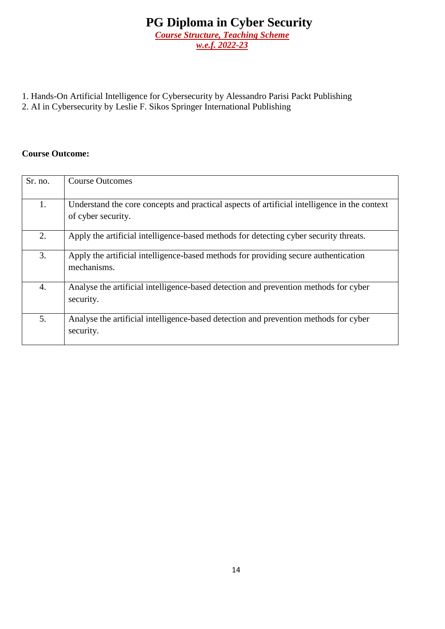- 1. Hands-On Artificial Intelligence for Cybersecurity by Alessandro Parisi Packt Publishing
- 2. AI in Cybersecurity by Leslie F. Sikos Springer International Publishing

| Sr. no. | <b>Course Outcomes</b>                                                                                             |
|---------|--------------------------------------------------------------------------------------------------------------------|
| 1.      | Understand the core concepts and practical aspects of artificial intelligence in the context<br>of cyber security. |
| 2.      | Apply the artificial intelligence-based methods for detecting cyber security threats.                              |
| 3.      | Apply the artificial intelligence-based methods for providing secure authentication<br>mechanisms.                 |
| 4.      | Analyse the artificial intelligence-based detection and prevention methods for cyber<br>security.                  |
| 5.      | Analyse the artificial intelligence-based detection and prevention methods for cyber<br>security.                  |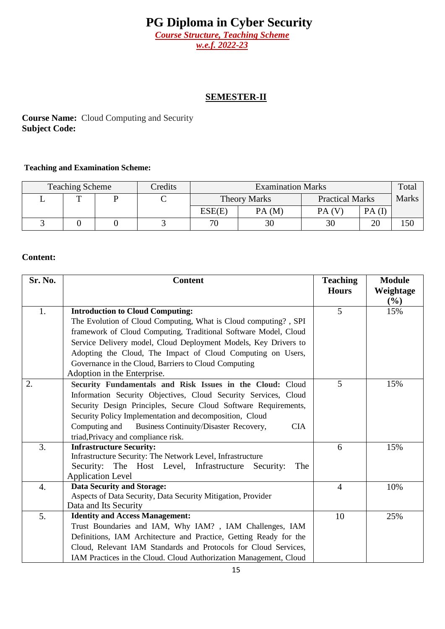*Course Structure, Teaching Scheme w.e.f. 2022-23*

### **SEMESTER-II**

### **Course Name:** Cloud Computing and Security **Subject Code:**

#### **Teaching and Examination Scheme:**

| <b>Teaching Scheme</b> | Credits | <b>Examination Marks</b> |       |                        | Total |              |
|------------------------|---------|--------------------------|-------|------------------------|-------|--------------|
|                        | ◡       | <b>Theory Marks</b>      |       | <b>Practical Marks</b> |       | <b>Marks</b> |
|                        |         | ESE(E)                   | PA(M) | PA(V)                  | PA(I) |              |
|                        |         | 70                       | 30    | 30                     | 20    | 150          |

| Sr. No.        | <b>Content</b>                                                                                                                                                                                                                                                                                                                                                                                                                                                                                                                                                                                                                            | <b>Teaching</b><br><b>Hours</b> | <b>Module</b>    |
|----------------|-------------------------------------------------------------------------------------------------------------------------------------------------------------------------------------------------------------------------------------------------------------------------------------------------------------------------------------------------------------------------------------------------------------------------------------------------------------------------------------------------------------------------------------------------------------------------------------------------------------------------------------------|---------------------------------|------------------|
|                |                                                                                                                                                                                                                                                                                                                                                                                                                                                                                                                                                                                                                                           |                                 | Weightage<br>(%) |
| 1.             | <b>Introduction to Cloud Computing:</b>                                                                                                                                                                                                                                                                                                                                                                                                                                                                                                                                                                                                   | 5                               | 15%              |
|                | The Evolution of Cloud Computing, What is Cloud computing?, SPI                                                                                                                                                                                                                                                                                                                                                                                                                                                                                                                                                                           |                                 |                  |
|                | framework of Cloud Computing, Traditional Software Model, Cloud                                                                                                                                                                                                                                                                                                                                                                                                                                                                                                                                                                           |                                 |                  |
|                | Service Delivery model, Cloud Deployment Models, Key Drivers to                                                                                                                                                                                                                                                                                                                                                                                                                                                                                                                                                                           |                                 |                  |
|                | Adopting the Cloud, The Impact of Cloud Computing on Users,                                                                                                                                                                                                                                                                                                                                                                                                                                                                                                                                                                               |                                 |                  |
|                | Governance in the Cloud, Barriers to Cloud Computing                                                                                                                                                                                                                                                                                                                                                                                                                                                                                                                                                                                      |                                 |                  |
|                | Adoption in the Enterprise.                                                                                                                                                                                                                                                                                                                                                                                                                                                                                                                                                                                                               |                                 |                  |
| 2.             | Security Fundamentals and Risk Issues in the Cloud: Cloud                                                                                                                                                                                                                                                                                                                                                                                                                                                                                                                                                                                 | 5                               | 15%              |
|                | Information Security Objectives, Cloud Security Services, Cloud                                                                                                                                                                                                                                                                                                                                                                                                                                                                                                                                                                           |                                 |                  |
|                | Security Design Principles, Secure Cloud Software Requirements,                                                                                                                                                                                                                                                                                                                                                                                                                                                                                                                                                                           |                                 |                  |
|                | Security Policy Implementation and decomposition, Cloud                                                                                                                                                                                                                                                                                                                                                                                                                                                                                                                                                                                   |                                 |                  |
|                | <b>Business Continuity/Disaster Recovery,</b><br>Computing and<br><b>CIA</b>                                                                                                                                                                                                                                                                                                                                                                                                                                                                                                                                                              |                                 |                  |
|                | triad, Privacy and compliance risk.                                                                                                                                                                                                                                                                                                                                                                                                                                                                                                                                                                                                       |                                 |                  |
|                |                                                                                                                                                                                                                                                                                                                                                                                                                                                                                                                                                                                                                                           | 6                               | 15%              |
|                |                                                                                                                                                                                                                                                                                                                                                                                                                                                                                                                                                                                                                                           |                                 |                  |
|                |                                                                                                                                                                                                                                                                                                                                                                                                                                                                                                                                                                                                                                           |                                 |                  |
|                |                                                                                                                                                                                                                                                                                                                                                                                                                                                                                                                                                                                                                                           |                                 |                  |
|                |                                                                                                                                                                                                                                                                                                                                                                                                                                                                                                                                                                                                                                           |                                 |                  |
|                |                                                                                                                                                                                                                                                                                                                                                                                                                                                                                                                                                                                                                                           |                                 |                  |
|                |                                                                                                                                                                                                                                                                                                                                                                                                                                                                                                                                                                                                                                           |                                 |                  |
|                |                                                                                                                                                                                                                                                                                                                                                                                                                                                                                                                                                                                                                                           |                                 |                  |
|                |                                                                                                                                                                                                                                                                                                                                                                                                                                                                                                                                                                                                                                           |                                 |                  |
|                |                                                                                                                                                                                                                                                                                                                                                                                                                                                                                                                                                                                                                                           |                                 |                  |
|                |                                                                                                                                                                                                                                                                                                                                                                                                                                                                                                                                                                                                                                           |                                 |                  |
| 3.<br>4.<br>5. | <b>Infrastructure Security:</b><br>Infrastructure Security: The Network Level, Infrastructure<br>Security: The Host Level, Infrastructure<br>The<br>Security:<br><b>Application Level</b><br><b>Data Security and Storage:</b><br>Aspects of Data Security, Data Security Mitigation, Provider<br>Data and Its Security<br><b>Identity and Access Management:</b><br>Trust Boundaries and IAM, Why IAM?, IAM Challenges, IAM<br>Definitions, IAM Architecture and Practice, Getting Ready for the<br>Cloud, Relevant IAM Standards and Protocols for Cloud Services,<br>IAM Practices in the Cloud. Cloud Authorization Management, Cloud | $\overline{4}$<br>10            | 10%<br>25%       |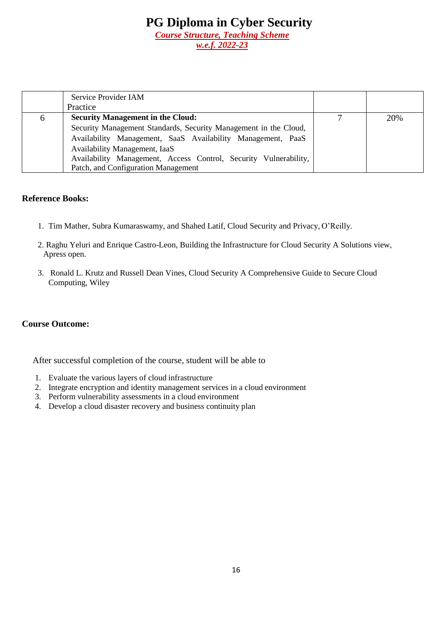|   | Service Provider IAM                                             |     |
|---|------------------------------------------------------------------|-----|
|   | Practice                                                         |     |
| 6 | <b>Security Management in the Cloud:</b>                         | 20% |
|   | Security Management Standards, Security Management in the Cloud, |     |
|   | Availability Management, SaaS Availability Management, PaaS      |     |
|   | Availability Management, IaaS                                    |     |
|   | Availability Management, Access Control, Security Vulnerability, |     |
|   | Patch, and Configuration Management                              |     |

#### **Reference Books:**

- 1. Tim Mather, Subra Kumaraswamy, and Shahed Latif, Cloud Security and Privacy, O'Reilly.
- 2. Raghu Yeluri and Enrique Castro-Leon, Building the Infrastructure for Cloud Security A Solutions view, Apress open.
- 3. Ronald L. Krutz and Russell Dean Vines, Cloud Security A Comprehensive Guide to Secure Cloud Computing, Wiley

#### **Course Outcome:**

After successful completion of the course, student will be able to

- 1. Evaluate the various layers of cloud infrastructure
- 2. Integrate encryption and identity management services in a cloud environment
- 3. Perform vulnerability assessments in a cloud environment
- 4. Develop a cloud disaster recovery and business continuity plan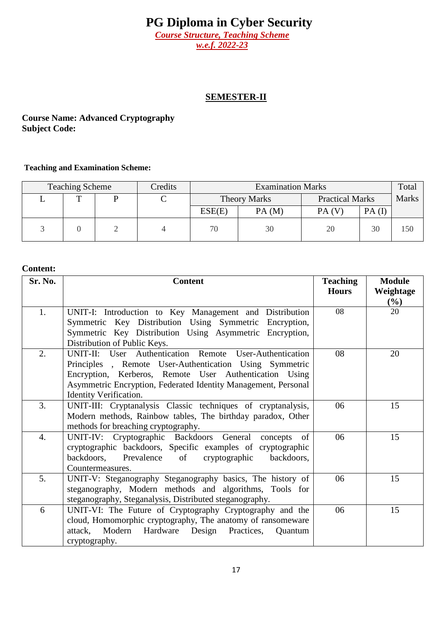*Course Structure, Teaching Scheme w.e.f. 2022-23*

#### **SEMESTER-II**

#### **Course Name: Advanced Cryptography Subject Code:**

#### **Teaching and Examination Scheme:**

| <b>Teaching Scheme</b> | Credits | <b>Examination Marks</b> |       |                        | Total |              |
|------------------------|---------|--------------------------|-------|------------------------|-------|--------------|
|                        |         | <b>Theory Marks</b>      |       | <b>Practical Marks</b> |       | <b>Marks</b> |
|                        |         | ESE(E)                   | PA(M) | PA(V)                  | PA(I) |              |
|                        |         | 70                       | 30    | 20                     | 30    | 150          |

| Sr. No.          | <b>Content</b>                                                                           | <b>Teaching</b><br><b>Hours</b> | <b>Module</b><br>Weightage |
|------------------|------------------------------------------------------------------------------------------|---------------------------------|----------------------------|
|                  |                                                                                          |                                 | $(\%)$                     |
| 1.               | UNIT-I: Introduction to Key Management and Distribution                                  | 08                              | 20                         |
|                  | Symmetric Key Distribution Using Symmetric Encryption,                                   |                                 |                            |
|                  | Symmetric Key Distribution Using Asymmetric Encryption,                                  |                                 |                            |
|                  | Distribution of Public Keys.                                                             |                                 |                            |
| 2.               | UNIT-II: User Authentication Remote User-Authentication                                  | 08                              | 20                         |
|                  | Principles, Remote User-Authentication Using Symmetric                                   |                                 |                            |
|                  | Encryption, Kerberos, Remote User Authentication Using                                   |                                 |                            |
|                  | Asymmetric Encryption, Federated Identity Management, Personal<br>Identity Verification. |                                 |                            |
| 3.               | UNIT-III: Cryptanalysis Classic techniques of cryptanalysis,                             | 06                              | 15                         |
|                  | Modern methods, Rainbow tables, The birthday paradox, Other                              |                                 |                            |
|                  | methods for breaching cryptography.                                                      |                                 |                            |
| $\overline{4}$ . | UNIT-IV: Cryptographic Backdoors General<br>concepts of                                  | 06                              | 15                         |
|                  | cryptographic backdoors, Specific examples of cryptographic                              |                                 |                            |
|                  | backdoors,<br>Prevalence<br>of<br>cryptographic<br>backdoors,                            |                                 |                            |
|                  | Countermeasures.                                                                         |                                 |                            |
| 5.               | UNIT-V: Steganography Steganography basics, The history of                               | 06                              | 15                         |
|                  | steganography, Modern methods and algorithms, Tools for                                  |                                 |                            |
|                  | steganography, Steganalysis, Distributed steganography.                                  |                                 |                            |
| 6                | UNIT-VI: The Future of Cryptography Cryptography and the                                 | 06                              | 15                         |
|                  | cloud, Homomorphic cryptography, The anatomy of ransomeware                              |                                 |                            |
|                  | attack, Modern Hardware<br>Design Practices,<br>Ouantum                                  |                                 |                            |
|                  | cryptography.                                                                            |                                 |                            |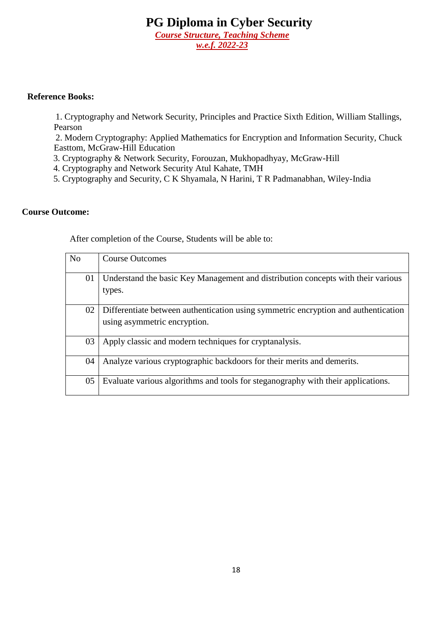#### **Reference Books:**

 1. Cryptography and Network Security, Principles and Practice Sixth Edition, William Stallings, Pearson

 2. Modern Cryptography: Applied Mathematics for Encryption and Information Security, Chuck Easttom, McGraw-Hill Education

3. Cryptography & Network Security, Forouzan, Mukhopadhyay, McGraw-Hill

4. Cryptography and Network Security Atul Kahate, TMH

5. Cryptography and Security, C K Shyamala, N Harini, T R Padmanabhan, Wiley-India

#### **Course Outcome:**

After completion of the Course, Students will be able to:

| N <sub>o</sub> | <b>Course Outcomes</b>                                                             |
|----------------|------------------------------------------------------------------------------------|
|                |                                                                                    |
| 01             | Understand the basic Key Management and distribution concepts with their various   |
|                | types.                                                                             |
| 02             | Differentiate between authentication using symmetric encryption and authentication |
|                | using asymmetric encryption.                                                       |
| 03             | Apply classic and modern techniques for cryptanalysis.                             |
| 04             | Analyze various cryptographic backdoors for their merits and demerits.             |
| 05             | Evaluate various algorithms and tools for steganography with their applications.   |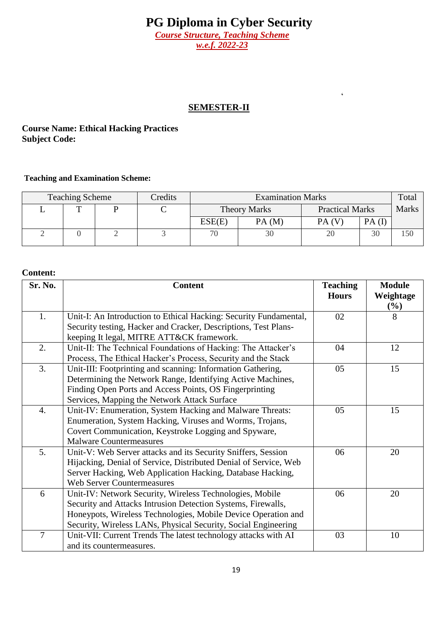*w.e.f. 2022-23*

### **SEMESTER-II**

'

### **Course Name: Ethical Hacking Practices Subject Code:**

#### **Teaching and Examination Scheme:**

| <b>Teaching Scheme</b> |  |  | Credits |                                               | <b>Examination Marks</b> |       |       | Total        |
|------------------------|--|--|---------|-----------------------------------------------|--------------------------|-------|-------|--------------|
|                        |  |  |         | <b>Practical Marks</b><br><b>Theory Marks</b> |                          |       |       | <b>Marks</b> |
|                        |  |  |         | ESE(E)                                        | PA(M)                    | PA(V) | PA(I) |              |
|                        |  |  |         | 70                                            | 30                       |       | 30    | 150          |

| Sr. No.        | <b>Content</b>                                                    | <b>Teaching</b><br><b>Hours</b> | <b>Module</b><br>Weightage |
|----------------|-------------------------------------------------------------------|---------------------------------|----------------------------|
|                |                                                                   |                                 | $(\%)$                     |
| 1.             | Unit-I: An Introduction to Ethical Hacking: Security Fundamental, | 02                              | 8                          |
|                | Security testing, Hacker and Cracker, Descriptions, Test Plans-   |                                 |                            |
|                | keeping It legal, MITRE ATT&CK framework.                         |                                 |                            |
| 2.             | Unit-II: The Technical Foundations of Hacking: The Attacker's     | 04                              | 12                         |
|                | Process, The Ethical Hacker's Process, Security and the Stack     |                                 |                            |
| 3.             | Unit-III: Footprinting and scanning: Information Gathering,       | 05                              | 15                         |
|                | Determining the Network Range, Identifying Active Machines,       |                                 |                            |
|                | Finding Open Ports and Access Points, OS Fingerprinting           |                                 |                            |
|                | Services, Mapping the Network Attack Surface                      |                                 |                            |
| 4.             | Unit-IV: Enumeration, System Hacking and Malware Threats:         | 05                              | 15                         |
|                | Enumeration, System Hacking, Viruses and Worms, Trojans,          |                                 |                            |
|                | Covert Communication, Keystroke Logging and Spyware,              |                                 |                            |
|                | <b>Malware Countermeasures</b>                                    |                                 |                            |
| 5.             | Unit-V: Web Server attacks and its Security Sniffers, Session     | 06                              | 20                         |
|                | Hijacking, Denial of Service, Distributed Denial of Service, Web  |                                 |                            |
|                | Server Hacking, Web Application Hacking, Database Hacking,        |                                 |                            |
|                | <b>Web Server Countermeasures</b>                                 |                                 |                            |
| 6              | Unit-IV: Network Security, Wireless Technologies, Mobile          | 06                              | 20                         |
|                | Security and Attacks Intrusion Detection Systems, Firewalls,      |                                 |                            |
|                | Honeypots, Wireless Technologies, Mobile Device Operation and     |                                 |                            |
|                | Security, Wireless LANs, Physical Security, Social Engineering    |                                 |                            |
| $\overline{7}$ | Unit-VII: Current Trends The latest technology attacks with AI    | 03                              | 10                         |
|                | and its countermeasures.                                          |                                 |                            |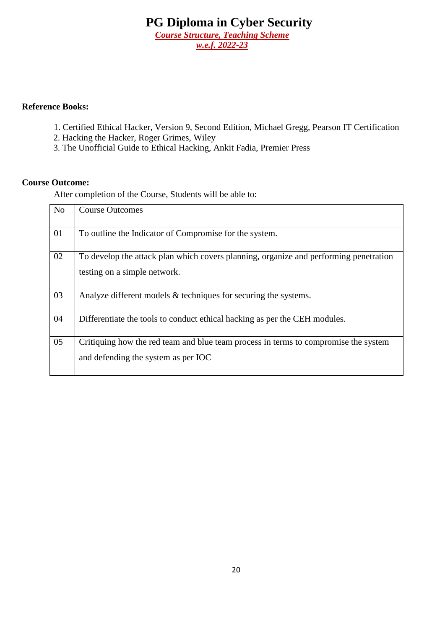#### **Reference Books:**

- 1. Certified Ethical Hacker, Version 9, Second Edition, Michael Gregg, Pearson IT Certification
- 2. Hacking the Hacker, Roger Grimes, Wiley
- 3. The Unofficial Guide to Ethical Hacking, Ankit Fadia, Premier Press

#### **Course Outcome:**

After completion of the Course, Students will be able to:

| N <sub>o</sub> | <b>Course Outcomes</b>                                                                                                     |
|----------------|----------------------------------------------------------------------------------------------------------------------------|
| 01             | To outline the Indicator of Compromise for the system.                                                                     |
| 02             | To develop the attack plan which covers planning, organize and performing penetration<br>testing on a simple network.      |
| 03             | Analyze different models $\&$ techniques for securing the systems.                                                         |
| 04             | Differentiate the tools to conduct ethical hacking as per the CEH modules.                                                 |
| 05             | Critiquing how the red team and blue team process in terms to compromise the system<br>and defending the system as per IOC |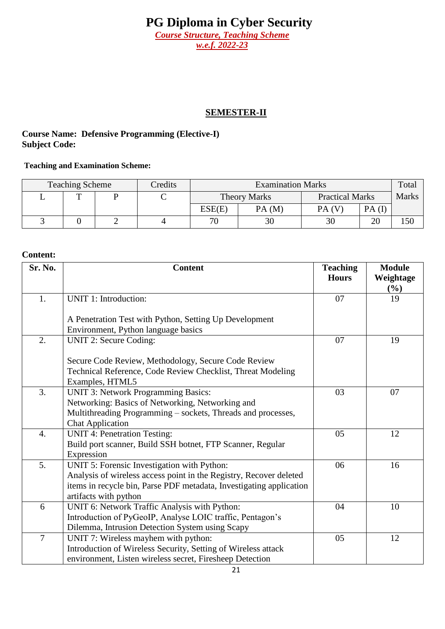*w.e.f. 2022-23*

## **SEMESTER-II**

#### **Course Name: Defensive Programming (Elective-I) Subject Code:**

#### **Teaching and Examination Scheme:**

| <b>Teaching Scheme</b> |   |  | Credits | <b>Examination Marks</b> |                     |                        |       | Total        |
|------------------------|---|--|---------|--------------------------|---------------------|------------------------|-------|--------------|
|                        | m |  | ◡       |                          | <b>Theory Marks</b> | <b>Practical Marks</b> |       | <b>Marks</b> |
|                        |   |  |         | ESE(E)                   | PA(M)               | PA(V)                  | PA(I) |              |
|                        |   |  |         | 70                       | 30                  | 30                     | 20    | 150          |

| Sr. No.        | <b>Content</b>                                                      | <b>Teaching</b><br><b>Hours</b> | <b>Module</b><br>Weightage |
|----------------|---------------------------------------------------------------------|---------------------------------|----------------------------|
| 1.             | UNIT 1: Introduction:                                               | 07                              | $(\%)$<br>19               |
|                |                                                                     |                                 |                            |
|                | A Penetration Test with Python, Setting Up Development              |                                 |                            |
|                | Environment, Python language basics                                 |                                 |                            |
| 2.             | UNIT 2: Secure Coding:                                              | 07                              | 19                         |
|                |                                                                     |                                 |                            |
|                | Secure Code Review, Methodology, Secure Code Review                 |                                 |                            |
|                | Technical Reference, Code Review Checklist, Threat Modeling         |                                 |                            |
|                | Examples, HTML5                                                     |                                 |                            |
| 3.             | <b>UNIT 3: Network Programming Basics:</b>                          | 03                              | 07                         |
|                | Networking: Basics of Networking, Networking and                    |                                 |                            |
|                | Multithreading Programming - sockets, Threads and processes,        |                                 |                            |
|                | <b>Chat Application</b>                                             |                                 |                            |
| 4.             | <b>UNIT 4: Penetration Testing:</b>                                 | 05                              | 12                         |
|                | Build port scanner, Build SSH botnet, FTP Scanner, Regular          |                                 |                            |
|                | Expression                                                          |                                 |                            |
| 5.             | UNIT 5: Forensic Investigation with Python:                         | 06                              | 16                         |
|                | Analysis of wireless access point in the Registry, Recover deleted  |                                 |                            |
|                | items in recycle bin, Parse PDF metadata, Investigating application |                                 |                            |
|                | artifacts with python                                               |                                 |                            |
| 6              | UNIT 6: Network Traffic Analysis with Python:                       | 04                              | 10                         |
|                | Introduction of PyGeoIP, Analyse LOIC traffic, Pentagon's           |                                 |                            |
|                | Dilemma, Intrusion Detection System using Scapy                     |                                 |                            |
| $\overline{7}$ | UNIT 7: Wireless mayhem with python:                                | 05                              | 12                         |
|                | Introduction of Wireless Security, Setting of Wireless attack       |                                 |                            |
|                | environment, Listen wireless secret, Firesheep Detection            |                                 |                            |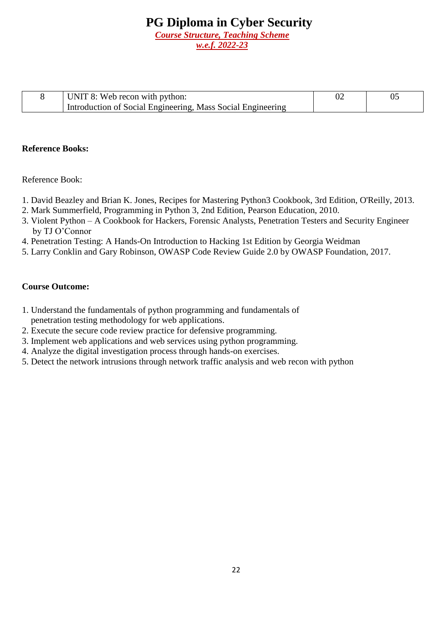| UNIT 8: Web recon with python:                              |  |
|-------------------------------------------------------------|--|
| Introduction of Social Engineering, Mass Social Engineering |  |

#### **Reference Books:**

#### Reference Book:

- 1. David Beazley and Brian K. Jones, Recipes for Mastering Python3 Cookbook, 3rd Edition, O'Reilly, 2013.
- 2. Mark Summerfield, Programming in Python 3, 2nd Edition, Pearson Education, 2010.
- 3. Violent Python A Cookbook for Hackers, Forensic Analysts, Penetration Testers and Security Engineer by TJ O'Connor
- 4. Penetration Testing: A Hands-On Introduction to Hacking 1st Edition by Georgia Weidman
- 5. Larry Conklin and Gary Robinson, OWASP Code Review Guide 2.0 by OWASP Foundation, 2017.

- 1. Understand the fundamentals of python programming and fundamentals of penetration testing methodology for web applications.
- 2. Execute the secure code review practice for defensive programming.
- 3. Implement web applications and web services using python programming.
- 4. Analyze the digital investigation process through hands-on exercises.
- 5. Detect the network intrusions through network traffic analysis and web recon with python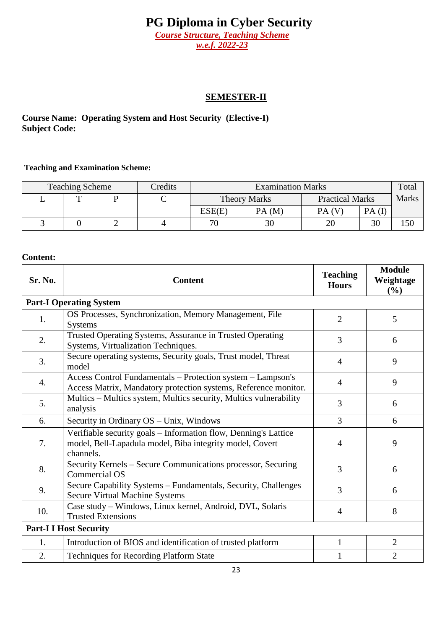*Course Structure, Teaching Scheme w.e.f. 2022-23*

#### **SEMESTER-II**

**Course Name: Operating System and Host Security (Elective-I) Subject Code:** 

#### **Teaching and Examination Scheme:**

| Credits<br><b>Teaching Scheme</b> |  |  |  | <b>Examination Marks</b> |                     |                        | Total |              |
|-----------------------------------|--|--|--|--------------------------|---------------------|------------------------|-------|--------------|
|                                   |  |  |  |                          | <b>Theory Marks</b> | <b>Practical Marks</b> |       | <b>Marks</b> |
|                                   |  |  |  | ESE(E)                   | PA(M)               | PA(V)                  | PA(I) |              |
|                                   |  |  |  | 70                       | 30                  |                        | 30    | 150          |

| Sr. No. | <b>Content</b>                                                                                                                           | <b>Teaching</b><br><b>Hours</b> | <b>Module</b><br>Weightage<br>(%) |
|---------|------------------------------------------------------------------------------------------------------------------------------------------|---------------------------------|-----------------------------------|
|         | <b>Part-I Operating System</b>                                                                                                           |                                 |                                   |
| 1.      | OS Processes, Synchronization, Memory Management, File<br><b>Systems</b>                                                                 | $\overline{2}$                  | 5                                 |
| 2.      | Trusted Operating Systems, Assurance in Trusted Operating<br>Systems, Virtualization Techniques.                                         | 3                               | 6                                 |
| 3.      | Secure operating systems, Security goals, Trust model, Threat<br>model                                                                   | $\overline{4}$                  | 9                                 |
| 4.      | Access Control Fundamentals - Protection system - Lampson's<br>Access Matrix, Mandatory protection systems, Reference monitor.           | $\overline{4}$                  | 9                                 |
| 5.      | Multics - Multics system, Multics security, Multics vulnerability<br>analysis                                                            | 3                               | 6                                 |
| 6.      | Security in Ordinary OS - Unix, Windows                                                                                                  | 3                               | 6                                 |
| 7.      | Verifiable security goals - Information flow, Denning's Lattice<br>model, Bell-Lapadula model, Biba integrity model, Covert<br>channels. | $\overline{4}$                  | 9                                 |
| 8.      | Security Kernels – Secure Communications processor, Securing<br><b>Commercial OS</b>                                                     | 3                               | 6                                 |
| 9.      | Secure Capability Systems - Fundamentals, Security, Challenges<br><b>Secure Virtual Machine Systems</b>                                  | 3                               | 6                                 |
| 10.     | Case study - Windows, Linux kernel, Android, DVL, Solaris<br><b>Trusted Extensions</b>                                                   | 4                               | 8                                 |
|         | <b>Part-I I Host Security</b>                                                                                                            |                                 |                                   |
| 1.      | Introduction of BIOS and identification of trusted platform                                                                              |                                 | $\overline{2}$                    |
| 2.      | <b>Techniques for Recording Platform State</b>                                                                                           |                                 | $\overline{2}$                    |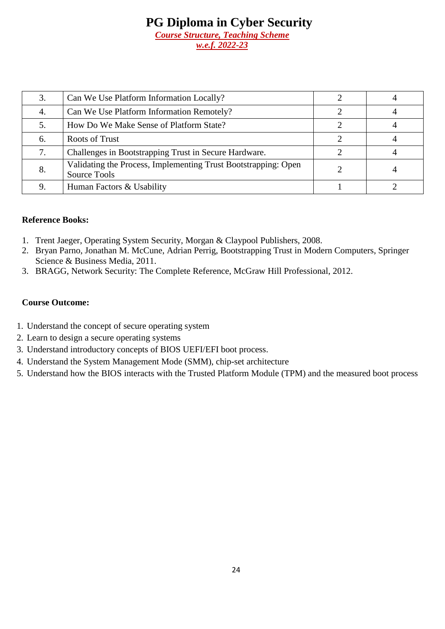|    | Can We Use Platform Information Locally?                                       |  |
|----|--------------------------------------------------------------------------------|--|
| 4. | Can We Use Platform Information Remotely?                                      |  |
|    | How Do We Make Sense of Platform State?                                        |  |
| 6. | <b>Roots of Trust</b>                                                          |  |
|    | Challenges in Bootstrapping Trust in Secure Hardware.                          |  |
| 8. | Validating the Process, Implementing Trust Bootstrapping: Open<br>Source Tools |  |
|    | Human Factors & Usability                                                      |  |

#### **Reference Books:**

- 1. Trent Jaeger, Operating System Security, Morgan & Claypool Publishers, 2008.
- 2. Bryan Parno, Jonathan M. McCune, Adrian Perrig, Bootstrapping Trust in Modern Computers, Springer Science & Business Media, 2011.
- 3. BRAGG, Network Security: The Complete Reference, McGraw Hill Professional, 2012.

- 1. Understand the concept of secure operating system
- 2. Learn to design a secure operating systems
- 3. Understand introductory concepts of BIOS UEFI/EFI boot process.
- 4. Understand the System Management Mode (SMM), chip-set architecture
- 5. Understand how the BIOS interacts with the Trusted Platform Module (TPM) and the measured boot process